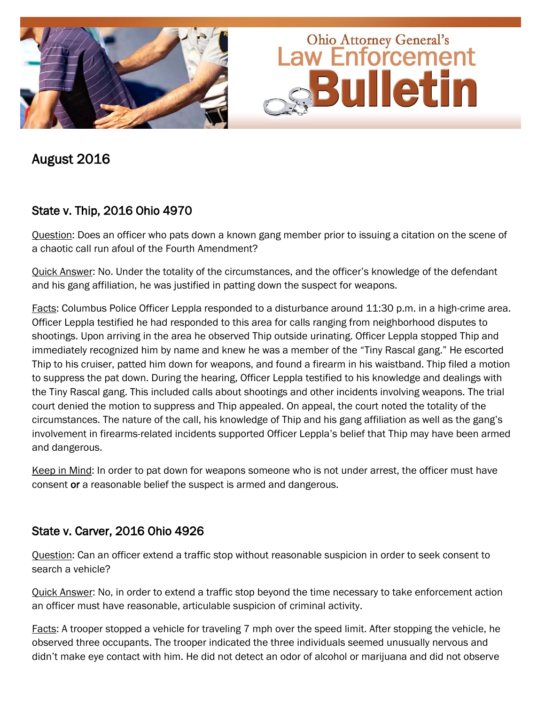

August 2016

## State v. Thip, 2016 Ohio 4970

Question: Does an officer who pats down a known gang member prior to issuing a citation on the scene of a chaotic call run afoul of the Fourth Amendment?

Quick Answer: No. Under the totality of the circumstances, and the officer's knowledge of the defendant and his gang affiliation, he was justified in patting down the suspect for weapons.

Facts: Columbus Police Officer Leppla responded to a disturbance around 11:30 p.m. in a high-crime area. Officer Leppla testified he had responded to this area for calls ranging from neighborhood disputes to shootings. Upon arriving in the area he observed Thip outside urinating. Officer Leppla stopped Thip and immediately recognized him by name and knew he was a member of the "Tiny Rascal gang." He escorted Thip to his cruiser, patted him down for weapons, and found a firearm in his waistband. Thip filed a motion to suppress the pat down. During the hearing, Officer Leppla testified to his knowledge and dealings with the Tiny Rascal gang. This included calls about shootings and other incidents involving weapons. The trial court denied the motion to suppress and Thip appealed. On appeal, the court noted the totality of the circumstances. The nature of the call, his knowledge of Thip and his gang affiliation as well as the gang's involvement in firearms-related incidents supported Officer Leppla's belief that Thip may have been armed and dangerous.

Keep in Mind: In order to pat down for weapons someone who is not under arrest, the officer must have consent or a reasonable belief the suspect is armed and dangerous.

## State v. Carver, 2016 Ohio 4926

Question: Can an officer extend a traffic stop without reasonable suspicion in order to seek consent to search a vehicle?

Quick Answer: No, in order to extend a traffic stop beyond the time necessary to take enforcement action an officer must have reasonable, articulable suspicion of criminal activity.

Facts: A trooper stopped a vehicle for traveling 7 mph over the speed limit. After stopping the vehicle, he observed three occupants. The trooper indicated the three individuals seemed unusually nervous and didn't make eye contact with him. He did not detect an odor of alcohol or marijuana and did not observe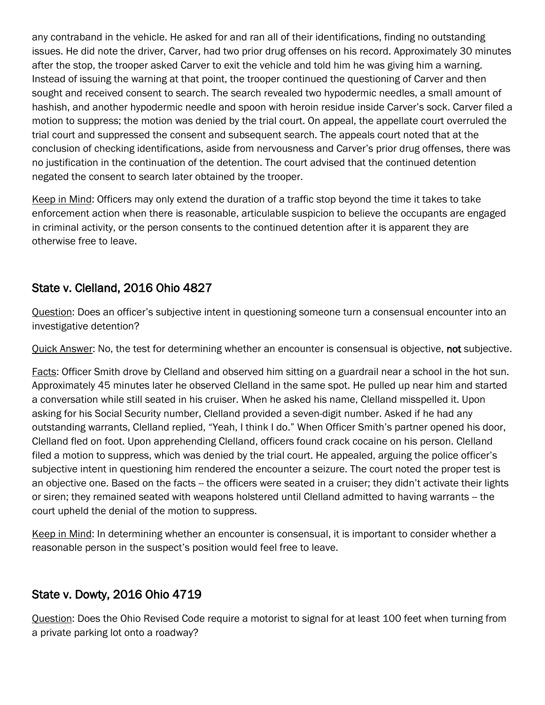any contraband in the vehicle. He asked for and ran all of their identifications, finding no outstanding issues. He did note the driver, Carver, had two prior drug offenses on his record. Approximately 30 minutes after the stop, the trooper asked Carver to exit the vehicle and told him he was giving him a warning. Instead of issuing the warning at that point, the trooper continued the questioning of Carver and then sought and received consent to search. The search revealed two hypodermic needles, a small amount of hashish, and another hypodermic needle and spoon with heroin residue inside Carver's sock. Carver filed a motion to suppress; the motion was denied by the trial court. On appeal, the appellate court overruled the trial court and suppressed the consent and subsequent search. The appeals court noted that at the conclusion of checking identifications, aside from nervousness and Carver's prior drug offenses, there was no justification in the continuation of the detention. The court advised that the continued detention negated the consent to search later obtained by the trooper.

Keep in Mind: Officers may only extend the duration of a traffic stop beyond the time it takes to take enforcement action when there is reasonable, articulable suspicion to believe the occupants are engaged in criminal activity, or the person consents to the continued detention after it is apparent they are otherwise free to leave.

## State v. Clelland, 2016 Ohio 4827

Question: Does an officer's subjective intent in questioning someone turn a consensual encounter into an investigative detention?

Quick Answer: No, the test for determining whether an encounter is consensual is objective, not subjective.

Facts: Officer Smith drove by Clelland and observed him sitting on a guardrail near a school in the hot sun. Approximately 45 minutes later he observed Clelland in the same spot. He pulled up near him and started a conversation while still seated in his cruiser. When he asked his name, Clelland misspelled it. Upon asking for his Social Security number, Clelland provided a seven-digit number. Asked if he had any outstanding warrants, Clelland replied, "Yeah, I think I do." When Officer Smith's partner opened his door, Clelland fled on foot. Upon apprehending Clelland, officers found crack cocaine on his person. Clelland filed a motion to suppress, which was denied by the trial court. He appealed, arguing the police officer's subjective intent in questioning him rendered the encounter a seizure. The court noted the proper test is an objective one. Based on the facts -- the officers were seated in a cruiser; they didn't activate their lights or siren; they remained seated with weapons holstered until Clelland admitted to having warrants -- the court upheld the denial of the motion to suppress.

Keep in Mind: In determining whether an encounter is consensual, it is important to consider whether a reasonable person in the suspect's position would feel free to leave.

## State v. Dowty, 2016 Ohio 4719

Question: Does the Ohio Revised Code require a motorist to signal for at least 100 feet when turning from a private parking lot onto a roadway?